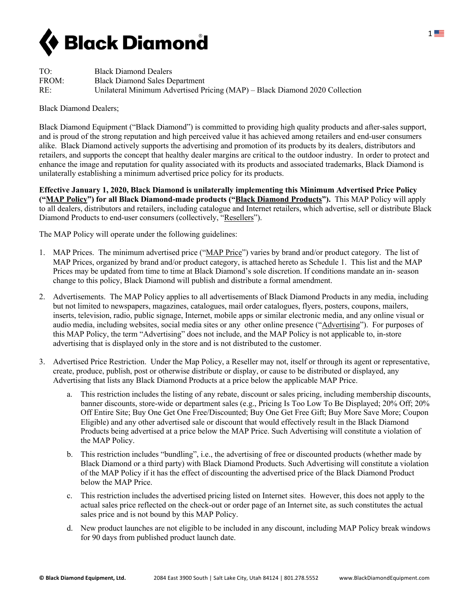

| TO:   | <b>Black Diamond Dealers</b>                                                |
|-------|-----------------------------------------------------------------------------|
| FROM: | <b>Black Diamond Sales Department</b>                                       |
| RE:   | Unilateral Minimum Advertised Pricing (MAP) – Black Diamond 2020 Collection |

Black Diamond Dealers;

Black Diamond Equipment ("Black Diamond") is committed to providing high quality products and after-sales support, and is proud of the strong reputation and high perceived value it has achieved among retailers and end-user consumers alike. Black Diamond actively supports the advertising and promotion of its products by its dealers, distributors and retailers, and supports the concept that healthy dealer margins are critical to the outdoor industry. In order to protect and enhance the image and reputation for quality associated with its products and associated trademarks, Black Diamond is unilaterally establishing a minimum advertised price policy for its products.

**Effective January 1, 2020, Black Diamond is unilaterally implementing this Minimum Advertised Price Policy ("MAP Policy") for all Black Diamond-made products ("Black Diamond Products").** This MAP Policy will apply to all dealers, distributors and retailers, including catalogue and Internet retailers, which advertise, sell or distribute Black Diamond Products to end-user consumers (collectively, "Resellers").

The MAP Policy will operate under the following guidelines:

- 1. MAP Prices. The minimum advertised price ("MAP Price") varies by brand and/or product category. The list of MAP Prices, organized by brand and/or product category, is attached hereto as Schedule 1. This list and the MAP Prices may be updated from time to time at Black Diamond's sole discretion. If conditions mandate an in- season change to this policy, Black Diamond will publish and distribute a formal amendment.
- 2. Advertisements. The MAP Policy applies to all advertisements of Black Diamond Products in any media, including but not limited to newspapers, magazines, catalogues, mail order catalogues, flyers, posters, coupons, mailers, inserts, television, radio, public signage, Internet, mobile apps or similar electronic media, and any online visual or audio media, including websites, social media sites or any other online presence ("Advertising"). For purposes of this MAP Policy, the term "Advertising" does not include, and the MAP Policy is not applicable to, in-store advertising that is displayed only in the store and is not distributed to the customer.
- 3. Advertised Price Restriction. Under the Map Policy, a Reseller may not, itself or through its agent or representative, create, produce, publish, post or otherwise distribute or display, or cause to be distributed or displayed, any Advertising that lists any Black Diamond Products at a price below the applicable MAP Price.
	- a. This restriction includes the listing of any rebate, discount or sales pricing, including membership discounts, banner discounts, store-wide or department sales (e.g., Pricing Is Too Low To Be Displayed; 20% Off; 20% Off Entire Site; Buy One Get One Free/Discounted; Buy One Get Free Gift; Buy More Save More; Coupon Eligible) and any other advertised sale or discount that would effectively result in the Black Diamond Products being advertised at a price below the MAP Price. Such Advertising will constitute a violation of the MAP Policy.
	- b. This restriction includes "bundling", i.e., the advertising of free or discounted products (whether made by Black Diamond or a third party) with Black Diamond Products. Such Advertising will constitute a violation of the MAP Policy if it has the effect of discounting the advertised price of the Black Diamond Product below the MAP Price.
	- c. This restriction includes the advertised pricing listed on Internet sites. However, this does not apply to the actual sales price reflected on the check-out or order page of an Internet site, as such constitutes the actual sales price and is not bound by this MAP Policy.
	- d. New product launches are not eligible to be included in any discount, including MAP Policy break windows for 90 days from published product launch date.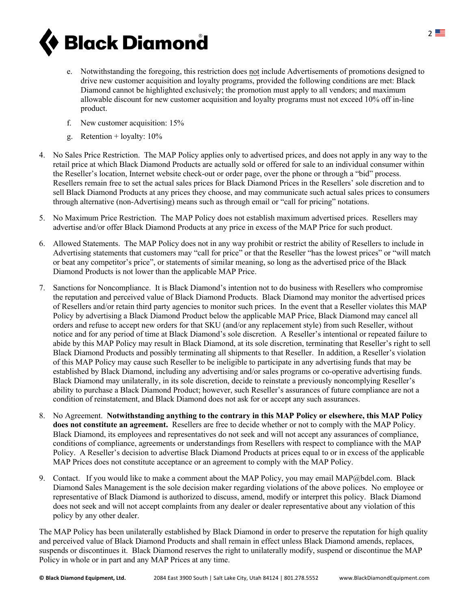

- e. Notwithstanding the foregoing, this restriction does not include Advertisements of promotions designed to drive new customer acquisition and loyalty programs, provided the following conditions are met: Black Diamond cannot be highlighted exclusively; the promotion must apply to all vendors; and maximum allowable discount for new customer acquisition and loyalty programs must not exceed 10% off in-line product.
- f. New customer acquisition: 15%
- g. Retention + loyalty: 10%
- 4. No Sales Price Restriction. The MAP Policy applies only to advertised prices, and does not apply in any way to the retail price at which Black Diamond Products are actually sold or offered for sale to an individual consumer within the Reseller's location, Internet website check-out or order page, over the phone or through a "bid" process. Resellers remain free to set the actual sales prices for Black Diamond Prices in the Resellers' sole discretion and to sell Black Diamond Products at any prices they choose, and may communicate such actual sales prices to consumers through alternative (non-Advertising) means such as through email or "call for pricing" notations.
- 5. No Maximum Price Restriction. The MAP Policy does not establish maximum advertised prices. Resellers may advertise and/or offer Black Diamond Products at any price in excess of the MAP Price for such product.
- 6. Allowed Statements. The MAP Policy does not in any way prohibit or restrict the ability of Resellers to include in Advertising statements that customers may "call for price" or that the Reseller "has the lowest prices" or "will match or beat any competitor's price", or statements of similar meaning, so long as the advertised price of the Black Diamond Products is not lower than the applicable MAP Price.
- 7. Sanctions for Noncompliance. It is Black Diamond's intention not to do business with Resellers who compromise the reputation and perceived value of Black Diamond Products. Black Diamond may monitor the advertised prices of Resellers and/or retain third party agencies to monitor such prices. In the event that a Reseller violates this MAP Policy by advertising a Black Diamond Product below the applicable MAP Price, Black Diamond may cancel all orders and refuse to accept new orders for that SKU (and/or any replacement style) from such Reseller, without notice and for any period of time at Black Diamond's sole discretion. A Reseller's intentional or repeated failure to abide by this MAP Policy may result in Black Diamond, at its sole discretion, terminating that Reseller's right to sell Black Diamond Products and possibly terminating all shipments to that Reseller. In addition, a Reseller's violation of this MAP Policy may cause such Reseller to be ineligible to participate in any advertising funds that may be established by Black Diamond, including any advertising and/or sales programs or co-operative advertising funds. Black Diamond may unilaterally, in its sole discretion, decide to reinstate a previously noncomplying Reseller's ability to purchase a Black Diamond Product; however, such Reseller's assurances of future compliance are not a condition of reinstatement, and Black Diamond does not ask for or accept any such assurances.
- 8. No Agreement. **Notwithstanding anything to the contrary in this MAP Policy or elsewhere, this MAP Policy does not constitute an agreement.** Resellers are free to decide whether or not to comply with the MAP Policy. Black Diamond, its employees and representatives do not seek and will not accept any assurances of compliance, conditions of compliance, agreements or understandings from Resellers with respect to compliance with the MAP Policy. A Reseller's decision to advertise Black Diamond Products at prices equal to or in excess of the applicable MAP Prices does not constitute acceptance or an agreement to comply with the MAP Policy.
- 9. Contact. If you would like to make a comment about the MAP Policy, you may email MAP@bdel.com. Black Diamond Sales Management is the sole decision maker regarding violations of the above polices. No employee or representative of Black Diamond is authorized to discuss, amend, modify or interpret this policy. Black Diamond does not seek and will not accept complaints from any dealer or dealer representative about any violation of this policy by any other dealer.

The MAP Policy has been unilaterally established by Black Diamond in order to preserve the reputation for high quality and perceived value of Black Diamond Products and shall remain in effect unless Black Diamond amends, replaces, suspends or discontinues it. Black Diamond reserves the right to unilaterally modify, suspend or discontinue the MAP Policy in whole or in part and any MAP Prices at any time.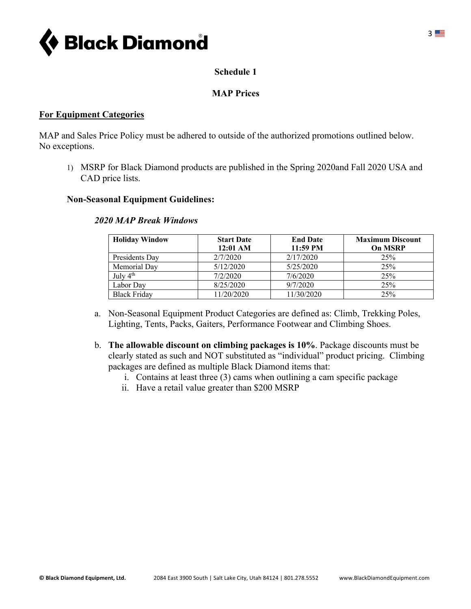

## **Schedule 1**

## **MAP Prices**

#### **For Equipment Categories**

MAP and Sales Price Policy must be adhered to outside of the authorized promotions outlined below. No exceptions.

1) MSRP for Black Diamond products are published in the Spring 2020and Fall 2020 USA and CAD price lists.

#### **Non-Seasonal Equipment Guidelines:**

| <b>Holiday Window</b> | <b>Start Date</b><br>$12:01$ AM | <b>End Date</b><br>$11:59$ PM | <b>Maximum Discount</b><br><b>On MSRP</b> |
|-----------------------|---------------------------------|-------------------------------|-------------------------------------------|
| Presidents Day        | 2/7/2020                        | 2/17/2020                     | 25%                                       |
| Memorial Dav          | 5/12/2020                       | 5/25/2020                     | 25%                                       |
| July $4th$            | 7/2/2020                        | 7/6/2020                      | 25%                                       |
| Labor Dav             | 8/25/2020                       | 9/7/2020                      | 25%                                       |
| <b>Black Friday</b>   | 11/20/2020                      | 11/30/2020                    | 25%                                       |

#### *2020 MAP Break Windows*

- a. Non-Seasonal Equipment Product Categories are defined as: Climb, Trekking Poles, Lighting, Tents, Packs, Gaiters, Performance Footwear and Climbing Shoes.
- b. **The allowable discount on climbing packages is 10%**. Package discounts must be clearly stated as such and NOT substituted as "individual" product pricing. Climbing packages are defined as multiple Black Diamond items that:
	- i. Contains at least three (3) cams when outlining a cam specific package
	- ii. Have a retail value greater than \$200 MSRP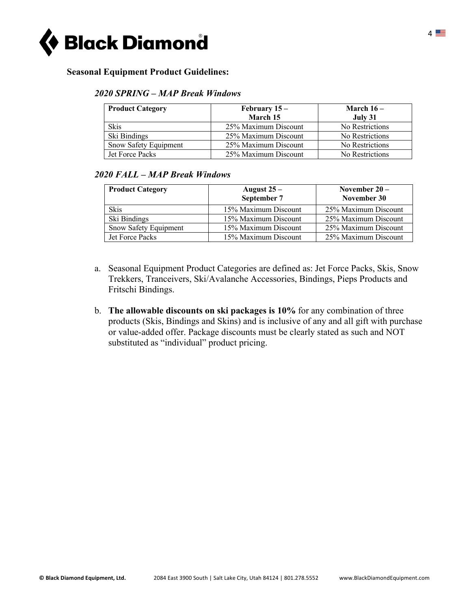

### **Seasonal Equipment Product Guidelines:**

#### *2020 SPRING – MAP Break Windows*

| <b>Product Category</b> | February $15-$       | March $16-$     |
|-------------------------|----------------------|-----------------|
|                         | March 15             | July 31         |
| <b>Skis</b>             | 25% Maximum Discount | No Restrictions |
| Ski Bindings            | 25% Maximum Discount | No Restrictions |
| Snow Safety Equipment   | 25% Maximum Discount | No Restrictions |
| <b>Jet Force Packs</b>  | 25% Maximum Discount | No Restrictions |

### *2020 FALL – MAP Break Windows*

| <b>Product Category</b> | August $25 -$<br>September 7 | November $20 -$<br>November 30 |
|-------------------------|------------------------------|--------------------------------|
| Skis                    | 15% Maximum Discount         | 25% Maximum Discount           |
| Ski Bindings            | 15% Maximum Discount         | 25% Maximum Discount           |
| Snow Safety Equipment   | 15% Maximum Discount         | 25% Maximum Discount           |
| Jet Force Packs         | 15% Maximum Discount         | 25% Maximum Discount           |

- a. Seasonal Equipment Product Categories are defined as: Jet Force Packs, Skis, Snow Trekkers, Tranceivers, Ski/Avalanche Accessories, Bindings, Pieps Products and Fritschi Bindings.
- b. **The allowable discounts on ski packages is 10%** for any combination of three products (Skis, Bindings and Skins) and is inclusive of any and all gift with purchase or value-added offer. Package discounts must be clearly stated as such and NOT substituted as "individual" product pricing.